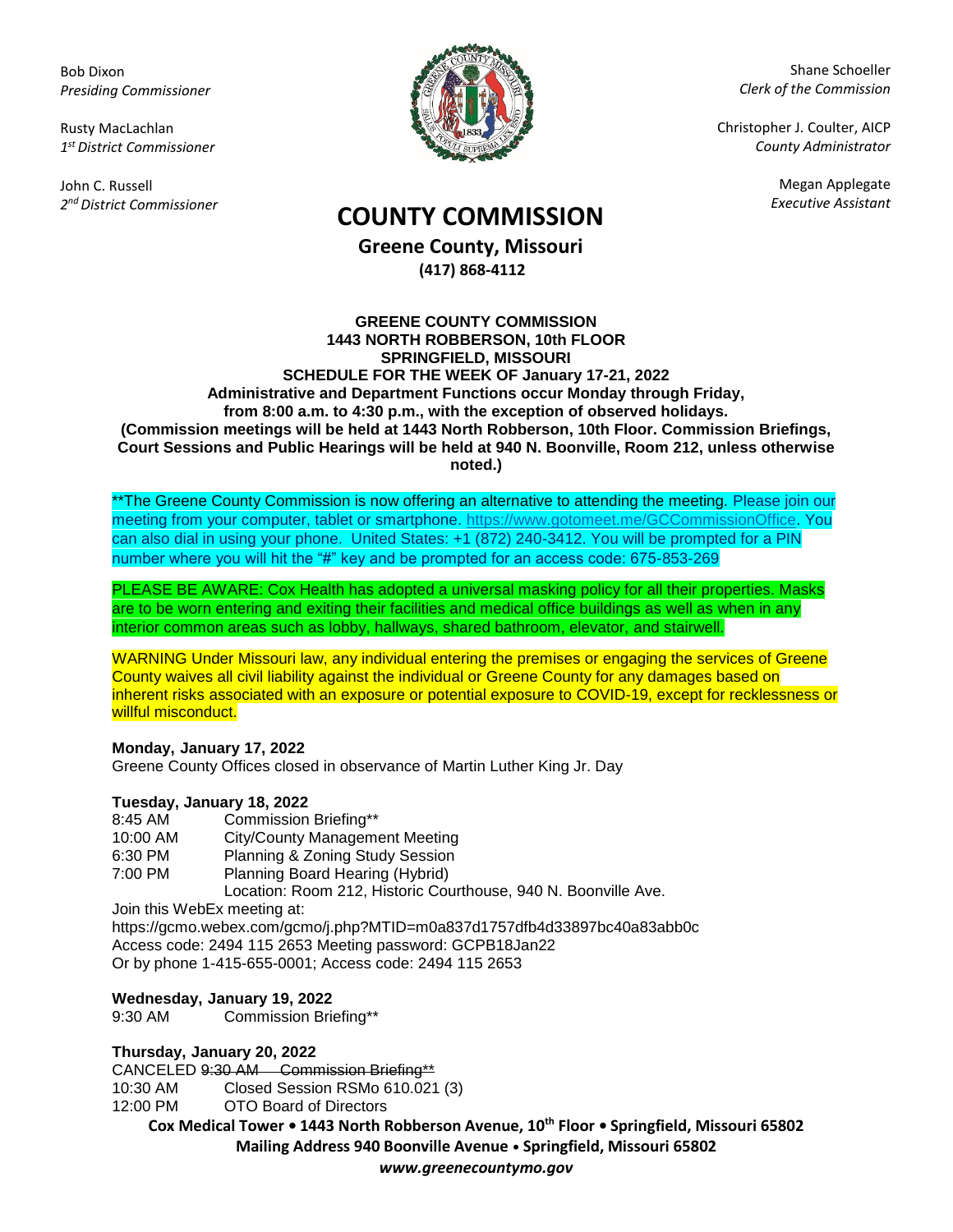Bob Dixon *Presiding Commissioner*

Rusty MacLachlan *1 st District Commissioner*

John C. Russell *2 nd District Commissioner*



Shane Schoeller *Clerk of the Commission*

Christopher J. Coulter, AICP *County Administrator*

Megan Applegate

# *Executive Assistant* **COUNTY COMMISSION**

**Greene County, Missouri (417) 868-4112**

#### **GREENE COUNTY COMMISSION 1443 NORTH ROBBERSON, 10th FLOOR SPRINGFIELD, MISSOURI SCHEDULE FOR THE WEEK OF January 17-21, 2022 Administrative and Department Functions occur Monday through Friday, from 8:00 a.m. to 4:30 p.m., with the exception of observed holidays. (Commission meetings will be held at 1443 North Robberson, 10th Floor. Commission Briefings, Court Sessions and Public Hearings will be held at 940 N. Boonville, Room 212, unless otherwise noted.)**

\*\*The Greene County Commission is now offering an alternative to attending the meeting. Please join our meeting from your computer, tablet or smartphone. [https://www.gotomeet.me/GCCommissionOffice.](https://www.gotomeet.me/GCCommissionOffice) You can also dial in using your phone. United States: +1 (872) 240-3412. You will be prompted for a PIN number where you will hit the "#" key and be prompted for an access code: 675-853-269

PLEASE BE AWARE: Cox Health has adopted a universal masking policy for all their properties. Masks are to be worn entering and exiting their facilities and medical office buildings as well as when in any interior common areas such as lobby, hallways, shared bathroom, elevator, and stairwell.

WARNING Under Missouri law, any individual entering the premises or engaging the services of Greene County waives all civil liability against the individual or Greene County for any damages based on inherent risks associated with an exposure or potential exposure to COVID-19, except for recklessness or willful misconduct.

#### **Monday, January 17, 2022**

Greene County Offices closed in observance of Martin Luther King Jr. Day

## **Tuesday, January 18, 2022**

| 8:45 AM  | Commission Briefing**                                          |
|----------|----------------------------------------------------------------|
| 10:00 AM | City/County Management Meeting                                 |
| 6:30 PM  | Planning & Zoning Study Session                                |
| 7:00 PM  | Planning Board Hearing (Hybrid)                                |
|          | Location: Room 212, Historic Courthouse, 940 N. Boonville Ave. |
|          | loin this WahEy mooting at:                                    |

Join this WebEx meeting at:

https://gcmo.webex.com/gcmo/j.php?MTID=m0a837d1757dfb4d33897bc40a83abb0c Access code: 2494 115 2653 Meeting password: GCPB18Jan22 Or by phone 1-415-655-0001; Access code: 2494 115 2653

## **Wednesday, January 19, 2022**

9:30 AM Commission Briefing\*\*

## **Thursday, January 20, 2022**

CANCELED 9:30 AM Commission Briefing\*\*

10:30 AM Closed Session RSMo 610.021 (3)

12:00 PM OTO Board of Directors

**Cox Medical Tower • 1443 North Robberson Avenue, 10th Floor • Springfield, Missouri 65802 Mailing Address 940 Boonville Avenue • Springfield, Missouri 65802**

*www.greenecountymo.gov*